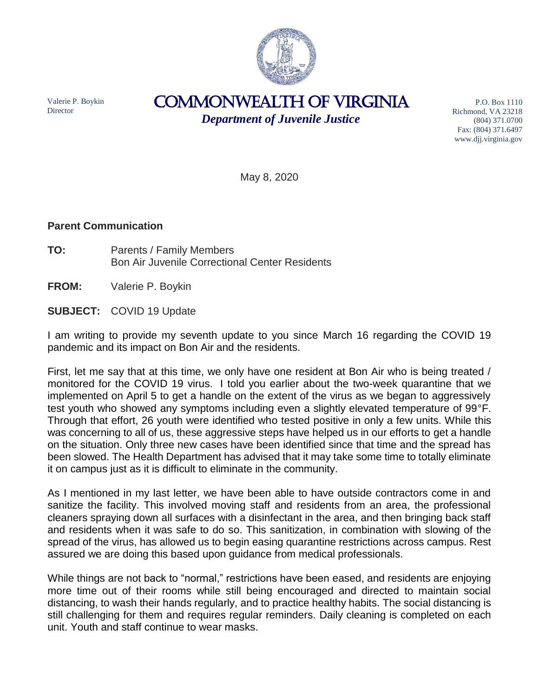

Valerie P. Boykin **Director** 

COMMONWEALTH of VIRGINIA *Department of Juvenile Justice*

P.O. Box 1110 Richmond, VA 23218 (804) 371.0700 Fax: (804) 371.6497 www.djj.virginia.gov

May 8, 2020

## **Parent Communication**

**TO:** Parents / Family Members Bon Air Juvenile Correctional Center Residents

**FROM:** Valerie P. Boykin

**SUBJECT:** COVID 19 Update

I am writing to provide my seventh update to you since March 16 regarding the COVID 19 pandemic and its impact on Bon Air and the residents.

First, let me say that at this time, we only have one resident at Bon Air who is being treated / monitored for the COVID 19 virus. I told you earlier about the two-week quarantine that we implemented on April 5 to get a handle on the extent of the virus as we began to aggressively test youth who showed any symptoms including even a slightly elevated temperature of 99°F. Through that effort, 26 youth were identified who tested positive in only a few units. While this was concerning to all of us, these aggressive steps have helped us in our efforts to get a handle on the situation. Only three new cases have been identified since that time and the spread has been slowed. The Health Department has advised that it may take some time to totally eliminate it on campus just as it is difficult to eliminate in the community.

As I mentioned in my last letter, we have been able to have outside contractors come in and sanitize the facility. This involved moving staff and residents from an area, the professional cleaners spraying down all surfaces with a disinfectant in the area, and then bringing back staff and residents when it was safe to do so. This sanitization, in combination with slowing of the spread of the virus, has allowed us to begin easing quarantine restrictions across campus. Rest assured we are doing this based upon guidance from medical professionals.

While things are not back to "normal," restrictions have been eased, and residents are enjoying more time out of their rooms while still being encouraged and directed to maintain social distancing, to wash their hands regularly, and to practice healthy habits. The social distancing is still challenging for them and requires regular reminders. Daily cleaning is completed on each unit. Youth and staff continue to wear masks.